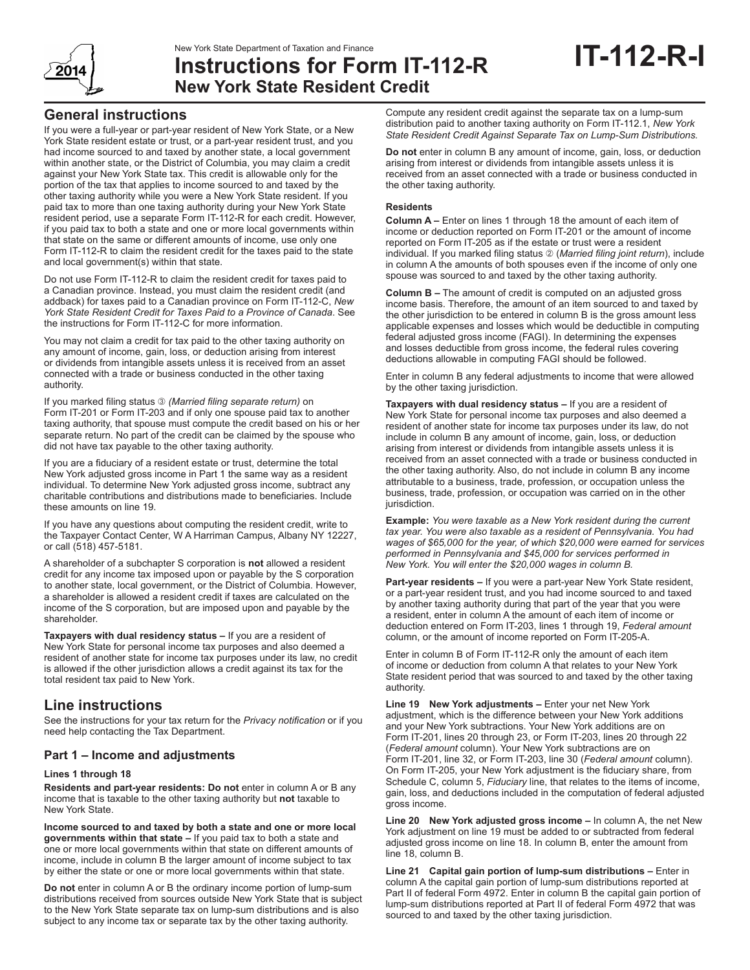

# New York State Department of Taxation and Finance<br>**Instructions for Form IT-112-R IT-112-R New York State Resident Credit**

## **General instructions**

If you were a full-year or part-year resident of New York State, or a New York State resident estate or trust, or a part-year resident trust, and you had income sourced to and taxed by another state, a local government within another state, or the District of Columbia, you may claim a credit against your New York State tax. This credit is allowable only for the portion of the tax that applies to income sourced to and taxed by the other taxing authority while you were a New York State resident. If you paid tax to more than one taxing authority during your New York State resident period, use a separate Form IT-112-R for each credit. However, if you paid tax to both a state and one or more local governments within that state on the same or different amounts of income, use only one Form IT-112-R to claim the resident credit for the taxes paid to the state and local government(s) within that state.

Do not use Form IT-112-R to claim the resident credit for taxes paid to a Canadian province. Instead, you must claim the resident credit (and addback) for taxes paid to a Canadian province on Form IT-112-C, *New York State Resident Credit for Taxes Paid to a Province of Canada*. See the instructions for Form IT-112-C for more information.

You may not claim a credit for tax paid to the other taxing authority on any amount of income, gain, loss, or deduction arising from interest or dividends from intangible assets unless it is received from an asset connected with a trade or business conducted in the other taxing authority.

If you marked filing status *(Married filing separate return)* on Form IT-201 or Form IT-203 and if only one spouse paid tax to another taxing authority, that spouse must compute the credit based on his or her separate return. No part of the credit can be claimed by the spouse who did not have tax payable to the other taxing authority.

If you are a fiduciary of a resident estate or trust, determine the total New York adjusted gross income in Part 1 the same way as a resident individual. To determine New York adjusted gross income, subtract any charitable contributions and distributions made to beneficiaries. Include these amounts on line 19.

If you have any questions about computing the resident credit, write to the Taxpayer Contact Center, W A Harriman Campus, Albany NY 12227, or call (518) 457-5181.

A shareholder of a subchapter S corporation is **not** allowed a resident credit for any income tax imposed upon or payable by the S corporation to another state, local government, or the District of Columbia. However, a shareholder is allowed a resident credit if taxes are calculated on the income of the S corporation, but are imposed upon and payable by the shareholder.

**Taxpayers with dual residency status –** If you are a resident of New York State for personal income tax purposes and also deemed a resident of another state for income tax purposes under its law, no credit is allowed if the other jurisdiction allows a credit against its tax for the total resident tax paid to New York.

## **Line instructions**

See the instructions for your tax return for the *Privacy notification* or if you need help contacting the Tax Department.

## **Part 1 – Income and adjustments**

#### **Lines 1 through 18**

**Residents and part-year residents: Do not** enter in column A or B any income that is taxable to the other taxing authority but **not** taxable to New York State.

**Income sourced to and taxed by both a state and one or more local governments within that state –** If you paid tax to both a state and one or more local governments within that state on different amounts of income, include in column B the larger amount of income subject to tax by either the state or one or more local governments within that state.

**Do not** enter in column A or B the ordinary income portion of lump-sum distributions received from sources outside New York State that is subject to the New York State separate tax on lump-sum distributions and is also subject to any income tax or separate tax by the other taxing authority.

Compute any resident credit against the separate tax on a lump-sum distribution paid to another taxing authority on Form IT-112.1, *New York State Resident Credit Against Separate Tax on Lump-Sum Distributions.*

**Do not** enter in column B any amount of income, gain, loss, or deduction arising from interest or dividends from intangible assets unless it is received from an asset connected with a trade or business conducted in the other taxing authority.

#### **Residents**

**Column A –** Enter on lines 1 through 18 the amount of each item of income or deduction reported on Form IT-201 or the amount of income reported on Form IT-205 as if the estate or trust were a resident individual. If you marked filing status  $\oslash$  (Married filing joint return), include in column A the amounts of both spouses even if the income of only one spouse was sourced to and taxed by the other taxing authority.

**Column B –** The amount of credit is computed on an adjusted gross income basis. Therefore, the amount of an item sourced to and taxed by the other jurisdiction to be entered in column B is the gross amount less applicable expenses and losses which would be deductible in computing federal adjusted gross income (FAGI). In determining the expenses and losses deductible from gross income, the federal rules covering deductions allowable in computing FAGI should be followed.

Enter in column B any federal adjustments to income that were allowed by the other taxing jurisdiction.

**Taxpayers with dual residency status –** If you are a resident of New York State for personal income tax purposes and also deemed a resident of another state for income tax purposes under its law, do not include in column B any amount of income, gain, loss, or deduction arising from interest or dividends from intangible assets unless it is received from an asset connected with a trade or business conducted in the other taxing authority. Also, do not include in column B any income attributable to a business, trade, profession, or occupation unless the business, trade, profession, or occupation was carried on in the other jurisdiction.

**Example:** *You were taxable as a New York resident during the current tax year. You were also taxable as a resident of Pennsylvania. You had wages of \$65,000 for the year, of which \$20,000 were earned for services performed in Pennsylvania and \$45,000 for services performed in New York. You will enter the \$20,000 wages in column B.*

**Part-year residents –** If you were a part-year New York State resident, or a part-year resident trust, and you had income sourced to and taxed by another taxing authority during that part of the year that you were a resident, enter in column A the amount of each item of income or deduction entered on Form IT-203, lines 1 through 19, *Federal amount* column, or the amount of income reported on Form IT-205-A.

Enter in column B of Form IT-112-R only the amount of each item of income or deduction from column A that relates to your New York State resident period that was sourced to and taxed by the other taxing authority.

**Line 19 New York adjustments –** Enter your net New York adjustment, which is the difference between your New York additions and your New York subtractions. Your New York additions are on Form IT-201, lines 20 through 23, or Form IT-203, lines 20 through 22 (*Federal amount* column). Your New York subtractions are on Form IT-201, line 32, or Form IT-203, line 30 (*Federal amount* column). On Form IT-205, your New York adjustment is the fiduciary share, from Schedule C, column 5, *Fiduciary* line, that relates to the items of income, gain, loss, and deductions included in the computation of federal adjusted gross income.

**Line 20 New York adjusted gross income –** In column A, the net New York adjustment on line 19 must be added to or subtracted from federal adjusted gross income on line 18. In column B, enter the amount from line 18, column B.

**Line 21 Capital gain portion of lump-sum distributions –** Enter in column A the capital gain portion of lump-sum distributions reported at Part II of federal Form 4972. Enter in column B the capital gain portion of lump-sum distributions reported at Part II of federal Form 4972 that was sourced to and taxed by the other taxing jurisdiction.